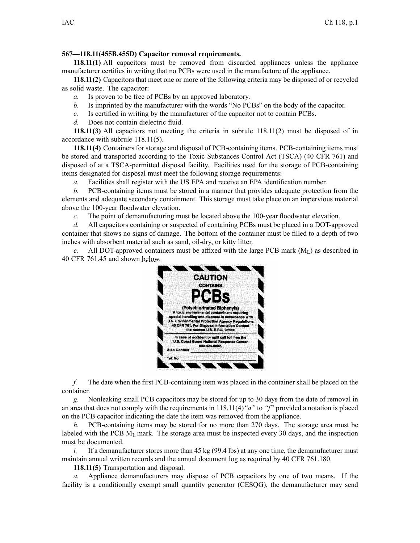## **567—118.11(455B,455D) Capacitor removal requirements.**

**118.11(1)** All capacitors must be removed from discarded appliances unless the appliance manufacturer certifies in writing that no PCBs were used in the manufacture of the appliance.

**118.11(2)** Capacitors that meet one or more of the following criteria may be disposed of or recycled as solid waste. The capacitor:

- *a.* Is proven to be free of PCBs by an approved laboratory.
- *b.* Is imprinted by the manufacturer with the words "No PCBs" on the body of the capacitor.
- *c.* Is certified in writing by the manufacturer of the capacitor not to contain PCBs.
- *d.* Does not contain dielectric fluid.

**118.11(3)** All capacitors not meeting the criteria in subrule 118.11(2) must be disposed of in accordance with subrule 118.11(5).

**118.11(4)** Containers for storage and disposal of PCB-containing items. PCB-containing items must be stored and transported according to the Toxic Substances Control Act (TSCA) (40 CFR 761) and disposed of at <sup>a</sup> TSCA-permitted disposal facility. Facilities used for the storage of PCB-containing items designated for disposal must meet the following storage requirements:

*a.* Facilities shall register with the US EPA and receive an EPA identification number.

*b.* PCB-containing items must be stored in <sup>a</sup> manner that provides adequate protection from the elements and adequate secondary containment. This storage must take place on an impervious material above the 100-year floodwater elevation.

*c.* The point of demanufacturing must be located above the 100-year floodwater elevation.

*d.* All capacitors containing or suspected of containing PCBs must be placed in <sup>a</sup> DOT-approved container that shows no signs of damage. The bottom of the container must be filled to <sup>a</sup> depth of two inches with absorbent material such as sand, oil-dry, or kitty litter.

*e.* All DOT-approved containers must be affixed with the large PCB mark  $(M<sub>L</sub>)$  as described in 40 CFR 761.45 and shown below.



*f.* The date when the first PCB-containing item was placed in the container shall be placed on the container.

*g.* Nonleaking small PCB capacitors may be stored for up to 30 days from the date of removal in an area that does not comply with the requirements in 118.11(4)*"a"* to *"f"* provided <sup>a</sup> notation is placed on the PCB capacitor indicating the date the item was removed from the appliance.

*h.* PCB-containing items may be stored for no more than 270 days. The storage area must be labeled with the PCB M<sub>L</sub> mark. The storage area must be inspected every 30 days, and the inspection must be documented.

*i.* If a demanufacturer stores more than  $45 \text{ kg} (99.4 \text{ lbs})$  at any one time, the demanufacturer must maintain annual written records and the annual document log as required by 40 CFR 761.180.

**118.11(5)** Transportation and disposal.

*a.* Appliance demanufacturers may dispose of PCB capacitors by one of two means. If the facility is <sup>a</sup> conditionally exemp<sup>t</sup> small quantity generator (CESQG), the demanufacturer may send